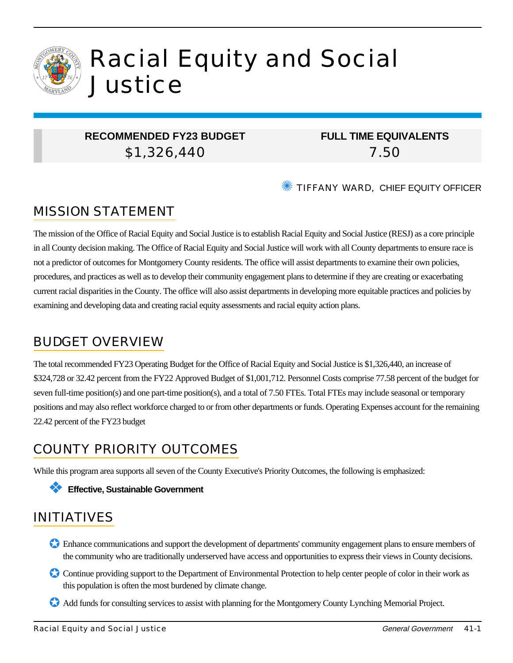

# Racial Equity and Social **Justice**

### **RECOMMENDED FY23 BUDGET** \$1,326,440

### **FULL TIME EQUIVALENTS** 7.50

✺ TIFFANY WARD, CHIEF EQUITY OFFICER

# MISSION STATEMENT

The mission of the Office of Racial Equity and Social Justice is to establish Racial Equity and Social Justice (RESJ) as a core principle in all County decision making. The Office of Racial Equity and Social Justice will work with all County departments to ensure race is not a predictor of outcomes for Montgomery County residents. The office will assist departments to examine their own policies, procedures, and practices as well as to develop their community engagement plans to determine if they are creating or exacerbating current racial disparities in the County. The office will also assist departments in developing more equitable practices and policies by examining and developing data and creating racial equity assessments and racial equity action plans.

## BUDGET OVERVIEW

The total recommended FY23 Operating Budget for the Office of Racial Equity and Social Justice is \$1,326,440, an increase of \$324,728 or 32.42 percent from the FY22 Approved Budget of \$1,001,712. Personnel Costs comprise 77.58 percent of the budget for seven full-time position(s) and one part-time position(s), and a total of 7.50 FTEs. Total FTEs may include seasonal or temporary positions and may also reflect workforce charged to or from other departments or funds. Operating Expenses account for the remaining 22.42 percent of the FY23 budget

# COUNTY PRIORITY OUTCOMES

While this program area supports all seven of the County Executive's Priority Outcomes, the following is emphasized:

#### ❖ **Effective, Sustainable Government**

# INITIATIVES

- ✪ Enhance communications and support the development of departments' community engagement plans to ensure members of the community who are traditionally underserved have access and opportunities to express their views in County decisions.
- Continue providing support to the Department of Environmental Protection to help center people of color in their work as this population is often the most burdened by climate change.
- ✪ Add funds for consulting services to assist with planning for the Montgomery County Lynching Memorial Project.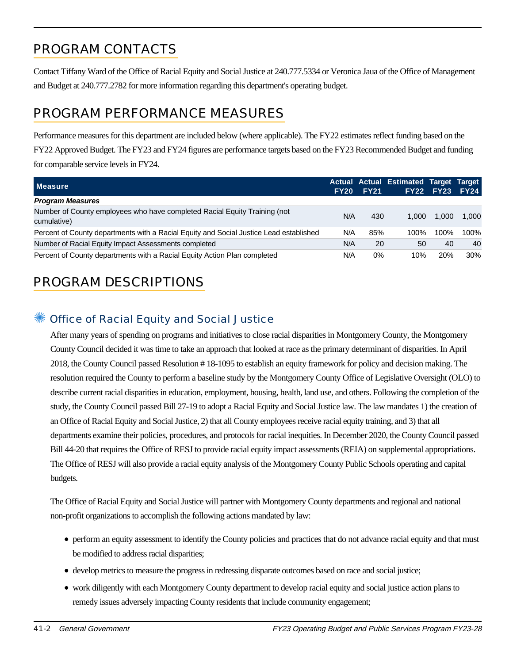# PROGRAM CONTACTS

Contact Tiffany Ward of the Office of Racial Equity and Social Justice at 240.777.5334 or Veronica Jaua of the Office of Management and Budget at 240.777.2782 for more information regarding this department's operating budget.

# PROGRAM PERFORMANCE MEASURES

Performance measures for this department are included below (where applicable). The FY22 estimates reflect funding based on the FY22 Approved Budget. The FY23 and FY24 figures are performance targets based on the FY23 Recommended Budget and funding for comparable service levels in FY24.

| <b>Measure</b>                                                                           | <b>FY20</b> | <b>FY21</b> | <b>Actual Actual Estimated Target Target</b> | <b>FY22 FY23</b> | <b>FY24</b> |
|------------------------------------------------------------------------------------------|-------------|-------------|----------------------------------------------|------------------|-------------|
| <b>Program Measures</b>                                                                  |             |             |                                              |                  |             |
| Number of County employees who have completed Racial Equity Training (not<br>cumulative) | N/A         | 430         | 1.000                                        | 1.000            | 1.000       |
| Percent of County departments with a Racial Equity and Social Justice Lead established   | N/A         | 85%         | 100%                                         | 100%             | 100%        |
| Number of Racial Equity Impact Assessments completed                                     | N/A         | 20          | 50                                           | 40               | 40          |
| Percent of County departments with a Racial Equity Action Plan completed                 | N/A         | $0\%$       | 10%                                          | <b>20%</b>       | 30%         |

# PROGRAM DESCRIPTIONS

### Office of Racial Equity and Social Justice

After many years of spending on programs and initiatives to close racial disparities in Montgomery County, the Montgomery County Council decided it was time to take an approach that looked at race as the primary determinant of disparities. In April 2018, the County Council passed Resolution # 18-1095 to establish an equity framework for policy and decision making. The resolution required the County to perform a baseline study by the Montgomery County Office of Legislative Oversight (OLO) to describe current racial disparities in education, employment, housing, health, land use, and others. Following the completion of the study, the County Council passed Bill 27-19 to adopt a Racial Equity and Social Justice law. The law mandates 1) the creation of an Office of Racial Equity and Social Justice, 2) that all County employees receive racial equity training, and 3) that all departments examine their policies, procedures, and protocols for racial inequities. In December 2020, the County Council passed Bill 44-20 that requires the Office of RESJ to provide racial equity impact assessments (REIA) on supplemental appropriations. The Office of RESJ will also provide a racial equity analysis of the Montgomery County Public Schools operating and capital budgets.

The Office of Racial Equity and Social Justice will partner with Montgomery County departments and regional and national non-profit organizations to accomplish the following actions mandated by law:

- perform an equity assessment to identify the County policies and practices that do not advance racial equity and that must be modified to address racial disparities;
- develop metrics to measure the progress in redressing disparate outcomes based on race and social justice;
- work diligently with each Montgomery County department to develop racial equity and social justice action plans to remedy issues adversely impacting County residents that include community engagement;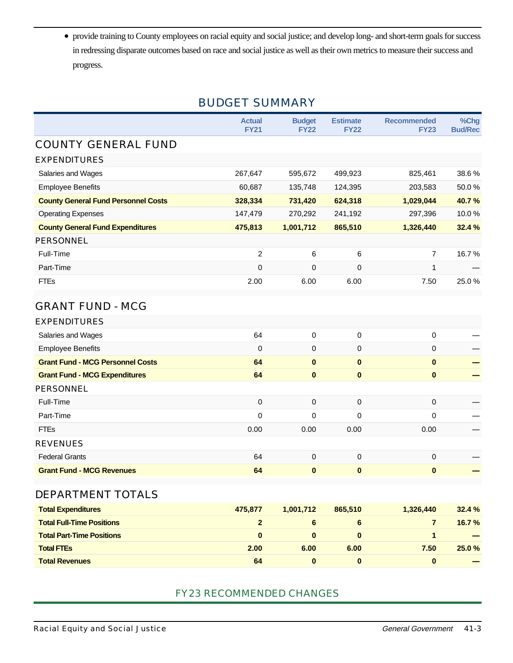provide training to County employees on racial equity and social justice; and develop long- and short-term goals for success in redressing disparate outcomes based on race and social justice as well as their own metrics to measure their success and progress.

### BUDGET SUMMARY

|                                            | <b>Actual</b><br><b>FY21</b> | <b>Budget</b><br><b>FY22</b> | <b>Estimate</b><br><b>FY22</b> | <b>Recommended</b><br><b>FY23</b> | %Chg<br><b>Bud/Rec</b> |
|--------------------------------------------|------------------------------|------------------------------|--------------------------------|-----------------------------------|------------------------|
| <b>COUNTY GENERAL FUND</b>                 |                              |                              |                                |                                   |                        |
| <b>EXPENDITURES</b>                        |                              |                              |                                |                                   |                        |
| Salaries and Wages                         | 267,647                      | 595,672                      | 499,923                        | 825,461                           | 38.6%                  |
| <b>Employee Benefits</b>                   | 60,687                       | 135,748                      | 124,395                        | 203,583                           | 50.0%                  |
| <b>County General Fund Personnel Costs</b> | 328,334                      | 731,420                      | 624,318                        | 1,029,044                         | 40.7%                  |
| <b>Operating Expenses</b>                  | 147,479                      | 270,292                      | 241,192                        | 297,396                           | 10.0%                  |
| <b>County General Fund Expenditures</b>    | 475,813                      | 1,001,712                    | 865,510                        | 1,326,440                         | 32.4 %                 |
| <b>PERSONNEL</b>                           |                              |                              |                                |                                   |                        |
| Full-Time                                  | 2                            | 6                            | 6                              | $\overline{7}$                    | 16.7%                  |
| Part-Time                                  | 0                            | 0                            | 0                              | 1                                 |                        |
| <b>FTEs</b>                                | 2.00                         | 6.00                         | 6.00                           | 7.50                              | 25.0%                  |
| <b>GRANT FUND - MCG</b>                    |                              |                              |                                |                                   |                        |
| <b>EXPENDITURES</b>                        |                              |                              |                                |                                   |                        |
| Salaries and Wages                         | 64                           | $\mathbf 0$                  | 0                              | 0                                 |                        |
| <b>Employee Benefits</b>                   | $\mathbf 0$                  | 0                            | 0                              | 0                                 |                        |
| <b>Grant Fund - MCG Personnel Costs</b>    | 64                           | $\bf{0}$                     | $\pmb{0}$                      | $\bf{0}$                          |                        |
| <b>Grant Fund - MCG Expenditures</b>       | 64                           | $\bf{0}$                     | $\bf{0}$                       | $\bf{0}$                          |                        |
| <b>PERSONNEL</b>                           |                              |                              |                                |                                   |                        |
| Full-Time                                  | $\mathbf 0$                  | 0                            | 0                              | 0                                 |                        |
| Part-Time                                  | $\mathbf 0$                  | 0                            | 0                              | 0                                 |                        |
| <b>FTEs</b>                                | 0.00                         | 0.00                         | 0.00                           | 0.00                              |                        |
| <b>REVENUES</b>                            |                              |                              |                                |                                   |                        |
| <b>Federal Grants</b>                      | 64                           | $\mathbf 0$                  | 0                              | 0                                 |                        |
| <b>Grant Fund - MCG Revenues</b>           | 64                           | $\bf{0}$                     | $\bf{0}$                       | $\bf{0}$                          |                        |
| DEPARTMENT TOTALS                          |                              |                              |                                |                                   |                        |
| <b>Total Expenditures</b>                  | 475,877                      | 1,001,712                    | 865,510                        | 1,326,440                         | 32.4 %                 |
| <b>Total Full-Time Positions</b>           | $\overline{2}$               | $6\phantom{1}$               | $6\phantom{a}$                 | $\overline{7}$                    | 16.7%                  |
| <b>Total Part-Time Positions</b>           | $\mathbf{0}$                 | $\bf{0}$                     | $\pmb{0}$                      | 1                                 |                        |
| <b>Total FTEs</b>                          | 2.00                         | 6.00                         | 6.00                           | 7.50                              | 25.0%                  |
| <b>Total Revenues</b>                      | 64                           | $\bf{0}$                     | $\pmb{0}$                      | $\pmb{0}$                         |                        |

#### FY23 RECOMMENDED CHANGES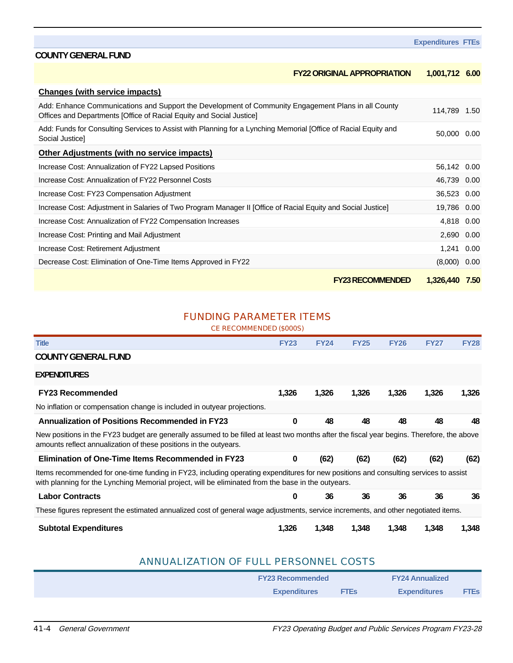#### **FY22 ORIGINAL APPROPRIATION 1,001,712 6.00**

| <b>Changes (with service impacts)</b>                                                                                                                                       |              |      |
|-----------------------------------------------------------------------------------------------------------------------------------------------------------------------------|--------------|------|
| Add: Enhance Communications and Support the Development of Community Engagement Plans in all County<br>Offices and Departments [Office of Racial Equity and Social Justice] | 114,789 1.50 |      |
| Add: Funds for Consulting Services to Assist with Planning for a Lynching Memorial [Office of Racial Equity and<br>Social Justice]                                          | 50,000 0.00  |      |
| Other Adjustments (with no service impacts)                                                                                                                                 |              |      |
| Increase Cost: Annualization of FY22 Lapsed Positions                                                                                                                       | 56,142 0.00  |      |
| Increase Cost: Annualization of FY22 Personnel Costs                                                                                                                        | 46,739 0.00  |      |
| Increase Cost: FY23 Compensation Adjustment                                                                                                                                 | 36,523 0.00  |      |
| Increase Cost: Adjustment in Salaries of Two Program Manager II [Office of Racial Equity and Social Justice]                                                                | 19,786 0.00  |      |
| Increase Cost: Annualization of FY22 Compensation Increases                                                                                                                 | 4,818 0.00   |      |
| Increase Cost: Printing and Mail Adjustment                                                                                                                                 | 2,690 0.00   |      |
| Increase Cost: Retirement Adjustment                                                                                                                                        | 1,241 0.00   |      |
| Decrease Cost: Elimination of One-Time Items Approved in FY22                                                                                                               | (8,000)      | 0.00 |
| <b>FY23 RECOMMENDED</b>                                                                                                                                                     | 1,326,440    | 7.50 |

#### FUNDING PARAMETER ITEMS

#### CE RECOMMENDED (\$000S)

| <b>Title</b>                                                                                                                                                                                                                               | <b>FY23</b> | <b>FY24</b> | <b>FY25</b> | <b>FY26</b> | <b>FY27</b> | <b>FY28</b> |
|--------------------------------------------------------------------------------------------------------------------------------------------------------------------------------------------------------------------------------------------|-------------|-------------|-------------|-------------|-------------|-------------|
| <b>COUNTY GENERAL FUND</b>                                                                                                                                                                                                                 |             |             |             |             |             |             |
| <b>EXPENDITURES</b>                                                                                                                                                                                                                        |             |             |             |             |             |             |
| <b>FY23 Recommended</b>                                                                                                                                                                                                                    | 1,326       | 1,326       | 1,326       | 1,326       | 1,326       | 1,326       |
| No inflation or compensation change is included in outyear projections.                                                                                                                                                                    |             |             |             |             |             |             |
| <b>Annualization of Positions Recommended in FY23</b>                                                                                                                                                                                      | $\bf{0}$    | 48          | 48          | 48          | 48          | 48          |
| New positions in the FY23 budget are generally assumed to be filled at least two months after the fiscal year begins. Therefore, the above<br>amounts reflect annualization of these positions in the outyears.                            |             |             |             |             |             |             |
| <b>Elimination of One-Time Items Recommended in FY23</b>                                                                                                                                                                                   | $\bf{0}$    | (62)        | (62)        | (62)        | (62)        | (62)        |
| Items recommended for one-time funding in FY23, including operating expenditures for new positions and consulting services to assist<br>with planning for the Lynching Memorial project, will be eliminated from the base in the outyears. |             |             |             |             |             |             |
| <b>Labor Contracts</b>                                                                                                                                                                                                                     | 0           | 36          | 36          | 36          | 36          | 36          |
| These figures represent the estimated annualized cost of general wage adjustments, service increments, and other negotiated items.                                                                                                         |             |             |             |             |             |             |
| <b>Subtotal Expenditures</b>                                                                                                                                                                                                               | 1.326       | 1.348       | 1.348       | 1.348       |             | .348        |

#### ANNUALIZATION OF FULL PERSONNEL COSTS

| <b>FY23 Recommended</b> |             | <b>FY24 Annualized</b> |             |  |
|-------------------------|-------------|------------------------|-------------|--|
| <b>Expenditures</b>     | <b>FTEs</b> | <b>Expenditures</b>    | <b>FTES</b> |  |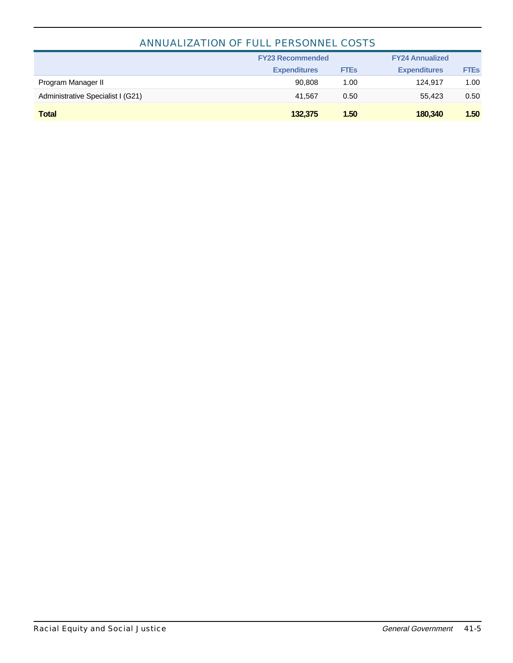#### ANNUALIZATION OF FULL PERSONNEL COSTS

|                                   | <b>FY23 Recommended</b> |             | <b>FY24 Annualized</b> |             |  |
|-----------------------------------|-------------------------|-------------|------------------------|-------------|--|
|                                   | <b>Expenditures</b>     | <b>FTEs</b> | <b>Expenditures</b>    | <b>FTEs</b> |  |
| Program Manager II                | 90.808                  | 1.00        | 124.917                | 1.00        |  |
| Administrative Specialist I (G21) | 41.567                  | 0.50        | 55.423                 | 0.50        |  |
| <b>Total</b>                      | 132,375                 | 1.50        | 180,340                | 1.50        |  |